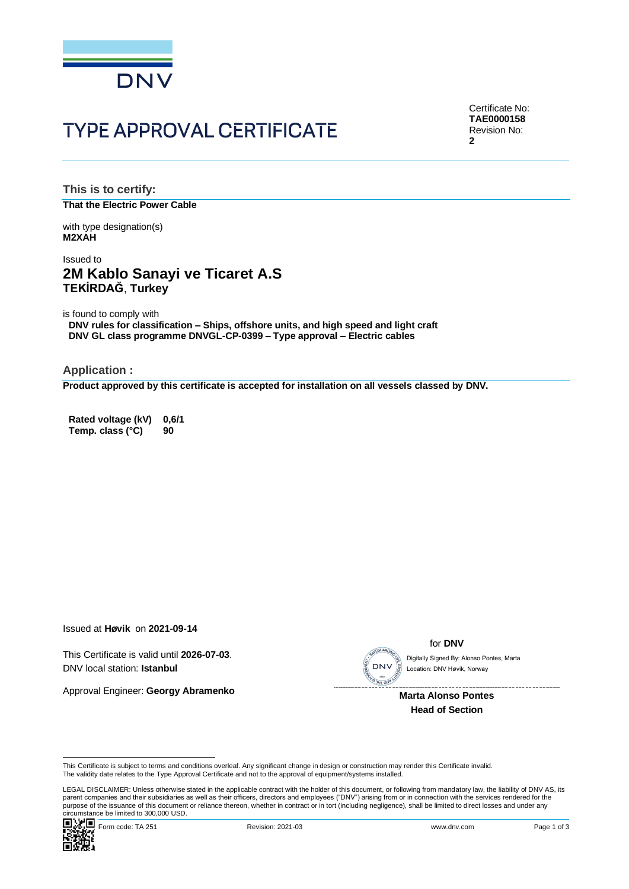

# **TYPE APPROVAL CERTIFICATE**

Certificate No: **TAE0000158** Revision No: **2**

**This is to certify: That the Electric Power Cable**

with type designation(s) **M2XAH**

## Issued to **2M Kablo Sanayi ve Ticaret A.S TEKİRDAĞ**, **Turkey**

is found to comply with

**DNV rules for classification – Ships, offshore units, and high speed and light craft DNV GL class programme DNVGL-CP-0399 – Type approval – Electric cables**

**Application :**

**Product approved by this certificate is accepted for installation on all vessels classed by DNV.**

**Rated voltage (kV) 0,6/1 Temp. class (°C) 90**

Issued at **Høvik** on **2021-09-14**

This Certificate is valid until **2026-07-03**. DNV local station: **Istanbul**

Approval Engineer: **Georgy Abramenko**

**SEGUARD** 

for **DNV**

Location: DNV Høvik, Norway

 **Marta Alonso Pontes Head of Section**

This Certificate is subject to terms and conditions overleaf. Any significant change in design or construction may render this Certificate invalid.<br>The validity date relates to the Type Approval Certificate and not to the

Cilicumstance be immedial positions occur.<br>
■ Magnology Form code: TA 251 Revision: 2021-03 www.dnv.com Page 1 of 3 LEGAL DISCLAIMER: Unless otherwise stated in the applicable contract with the holder of this document, or following from mandatory law, the liability of DNV AS, its parent companies and their subsidiaries as well as their officers, directors and employees ("DNV") arising from or in connection with the services rendered for the This Certificate is subject to terms and conditions overleaf. Any significant change in design or construction may render this Certificate invalid.<br>This Certificate is subject to terms and conditions overleaf. Any signific

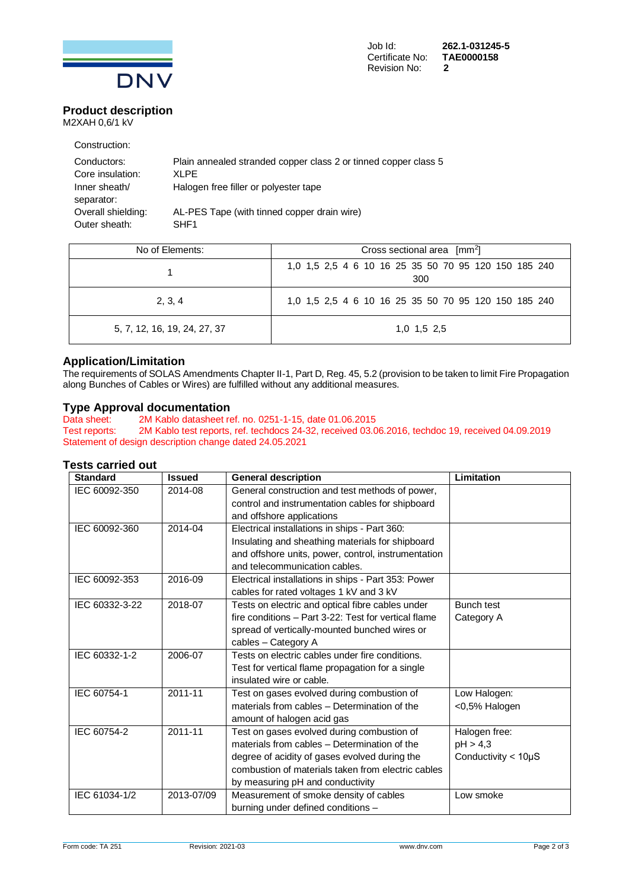

### **Product description** M2XAH 0,6/1 kV

| Construction:               |                                                                 |
|-----------------------------|-----------------------------------------------------------------|
| Conductors:                 | Plain annealed stranded copper class 2 or tinned copper class 5 |
| Core insulation:            | XI PF                                                           |
| Inner sheath/<br>separator: | Halogen free filler or polyester tape                           |
| Overall shielding:          | AL-PES Tape (with tinned copper drain wire)                     |
| Outer sheath:               | SHF <sub>1</sub>                                                |

| No of Elements:              | Cross sectional area $\lceil mm^2 \rceil$                   |  |  |
|------------------------------|-------------------------------------------------------------|--|--|
|                              | 1,0 1,5 2,5 4 6 10 16 25 35 50 70 95 120 150 185 240<br>300 |  |  |
| 2, 3, 4                      | 1,0 1,5 2,5 4 6 10 16 25 35 50 70 95 120 150 185 240        |  |  |
| 5, 7, 12, 16, 19, 24, 27, 37 | $1.0$ $1.5$ $2.5$                                           |  |  |

### **Application/Limitation**

The requirements of SOLAS Amendments Chapter II-1, Part D, Reg. 45, 5.2 (provision to be taken to limit Fire Propagation along Bunches of Cables or Wires) are fulfilled without any additional measures.

# **Type Approval documentation**<br>Data sheet: 2M Kablo datasheet re

2M Kablo datasheet ref. no. 0251-1-15, date 01.06.2015 Test reports: 2M Kablo test reports, ref. techdocs 24-32, received 03.06.2016, techdoc 19, received 04.09.2019 Statement of design description change dated 24.05.2021

### **Tests carried out**

| <b>Standard</b> | <b>Issued</b> | <b>General description</b>                           | Limitation                  |
|-----------------|---------------|------------------------------------------------------|-----------------------------|
| IEC 60092-350   | 2014-08       | General construction and test methods of power,      |                             |
|                 |               | control and instrumentation cables for shipboard     |                             |
|                 |               | and offshore applications                            |                             |
| IEC 60092-360   | 2014-04       | Electrical installations in ships - Part 360:        |                             |
|                 |               | Insulating and sheathing materials for shipboard     |                             |
|                 |               | and offshore units, power, control, instrumentation  |                             |
|                 |               | and telecommunication cables.                        |                             |
| IEC 60092-353   | 2016-09       | Electrical installations in ships - Part 353: Power  |                             |
|                 |               | cables for rated voltages 1 kV and 3 kV              |                             |
| IEC 60332-3-22  | 2018-07       | Tests on electric and optical fibre cables under     | <b>Bunch test</b>           |
|                 |               | fire conditions - Part 3-22: Test for vertical flame | Category A                  |
|                 |               | spread of vertically-mounted bunched wires or        |                             |
|                 |               | cables - Category A                                  |                             |
| IEC 60332-1-2   | 2006-07       | Tests on electric cables under fire conditions.      |                             |
|                 |               | Test for vertical flame propagation for a single     |                             |
|                 |               | insulated wire or cable.                             |                             |
| IEC 60754-1     | 2011-11       | Test on gases evolved during combustion of           | Low Halogen:                |
|                 |               | materials from cables - Determination of the         | <0,5% Halogen               |
|                 |               | amount of halogen acid gas                           |                             |
| IEC 60754-2     | 2011-11       | Test on gases evolved during combustion of           | Halogen free:               |
|                 |               | materials from cables - Determination of the         | pH > 4,3                    |
|                 |               | degree of acidity of gases evolved during the        | Conductivity $<$ 10 $\mu$ S |
|                 |               | combustion of materials taken from electric cables   |                             |
|                 |               | by measuring pH and conductivity                     |                             |
| IEC 61034-1/2   | 2013-07/09    | Measurement of smoke density of cables               | Low smoke                   |
|                 |               | burning under defined conditions -                   |                             |